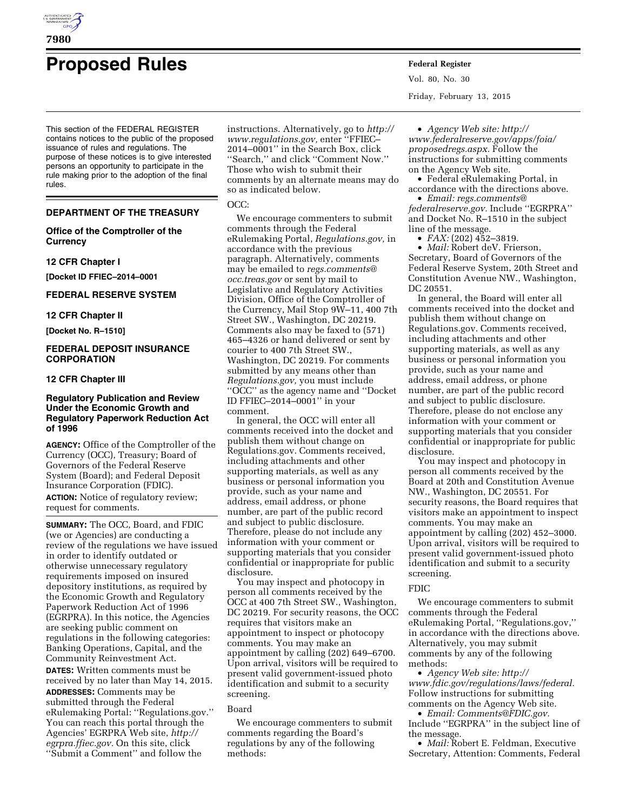

# **Proposed Rules Federal Register**

This section of the FEDERAL REGISTER contains notices to the public of the proposed issuance of rules and regulations. The purpose of these notices is to give interested persons an opportunity to participate in the rule making prior to the adoption of the final rules.

#### **DEPARTMENT OF THE TREASURY**

#### **Office of the Comptroller of the Currency**

#### **12 CFR Chapter I**

**[Docket ID FFIEC–2014–0001** 

#### **FEDERAL RESERVE SYSTEM**

#### **12 CFR Chapter II**

**[Docket No. R–1510]** 

#### **FEDERAL DEPOSIT INSURANCE CORPORATION**

#### **12 CFR Chapter III**

#### **Regulatory Publication and Review Under the Economic Growth and Regulatory Paperwork Reduction Act of 1996**

**AGENCY:** Office of the Comptroller of the Currency (OCC), Treasury; Board of Governors of the Federal Reserve System (Board); and Federal Deposit Insurance Corporation (FDIC).

**ACTION:** Notice of regulatory review; request for comments.

**SUMMARY:** The OCC, Board, and FDIC (we or Agencies) are conducting a review of the regulations we have issued in order to identify outdated or otherwise unnecessary regulatory requirements imposed on insured depository institutions, as required by the Economic Growth and Regulatory Paperwork Reduction Act of 1996 (EGRPRA). In this notice, the Agencies are seeking public comment on regulations in the following categories: Banking Operations, Capital, and the Community Reinvestment Act.

**DATES:** Written comments must be received by no later than May 14, 2015. **ADDRESSES:** Comments may be submitted through the Federal eRulemaking Portal: ''Regulations.gov.'' You can reach this portal through the Agencies' EGRPRA Web site, *[http://](http://egrpra.ffiec.gov) [egrpra.ffiec.gov.](http://egrpra.ffiec.gov)* On this site, click ''Submit a Comment'' and follow the

instructions. Alternatively, go to *[http://](http://www.regulations.gov)  [www.regulations.gov,](http://www.regulations.gov)* enter ''FFIEC– 2014–0001'' in the Search Box, click ''Search,'' and click ''Comment Now.'' Those who wish to submit their comments by an alternate means may do so as indicated below.

#### OCC:

We encourage commenters to submit comments through the Federal eRulemaking Portal, *Regulations.gov,* in accordance with the previous paragraph. Alternatively, comments may be emailed to *[regs.comments@](mailto:regs.comments@occ.treas.gov) [occ.treas.gov](mailto:regs.comments@occ.treas.gov)* or sent by mail to Legislative and Regulatory Activities Division, Office of the Comptroller of the Currency, Mail Stop 9W–11, 400 7th Street SW., Washington, DC 20219. Comments also may be faxed to (571) 465–4326 or hand delivered or sent by courier to 400 7th Street SW., Washington, DC 20219. For comments submitted by any means other than *Regulations.gov,* you must include ''OCC'' as the agency name and ''Docket ID FFIEC–2014–0001'' in your comment.

In general, the OCC will enter all comments received into the docket and publish them without change on Regulations.gov. Comments received, including attachments and other supporting materials, as well as any business or personal information you provide, such as your name and address, email address, or phone number, are part of the public record and subject to public disclosure. Therefore, please do not include any information with your comment or supporting materials that you consider confidential or inappropriate for public disclosure.

You may inspect and photocopy in person all comments received by the OCC at 400 7th Street SW., Washington, DC 20219. For security reasons, the OCC requires that visitors make an appointment to inspect or photocopy comments. You may make an appointment by calling (202) 649–6700. Upon arrival, visitors will be required to present valid government-issued photo identification and submit to a security screening.

#### Board

We encourage commenters to submit comments regarding the Board's regulations by any of the following methods:

Vol. 80, No. 30 Friday, February 13, 2015

• *Agency Web site: [http://](http://www.federalreserve.gov/apps/foia/proposedregs.aspx) [www.federalreserve.gov/apps/foia/](http://www.federalreserve.gov/apps/foia/proposedregs.aspx) [proposedregs.aspx.](http://www.federalreserve.gov/apps/foia/proposedregs.aspx)* Follow the instructions for submitting comments on the Agency Web site.

• Federal eRulemaking Portal, in accordance with the directions above.

• *Email: [regs.comments@](mailto:regs.comments@federalreserve.gov) [federalreserve.gov.](mailto:regs.comments@federalreserve.gov)* Include ''EGRPRA'' and Docket No. R–1510 in the subject line of the message.

• *FAX:* (202) 452–3819.

• *Mail:* Robert deV. Frierson, Secretary, Board of Governors of the Federal Reserve System, 20th Street and Constitution Avenue NW., Washington, DC 20551.

In general, the Board will enter all comments received into the docket and publish them without change on Regulations.gov. Comments received, including attachments and other supporting materials, as well as any business or personal information you provide, such as your name and address, email address, or phone number, are part of the public record and subject to public disclosure. Therefore, please do not enclose any information with your comment or supporting materials that you consider confidential or inappropriate for public disclosure.

You may inspect and photocopy in person all comments received by the Board at 20th and Constitution Avenue NW., Washington, DC 20551. For security reasons, the Board requires that visitors make an appointment to inspect comments. You may make an appointment by calling (202) 452–3000. Upon arrival, visitors will be required to present valid government-issued photo identification and submit to a security screening.

#### FDIC

We encourage commenters to submit comments through the Federal eRulemaking Portal, ''Regulations.gov,'' in accordance with the directions above. Alternatively, you may submit comments by any of the following methods:

• *Agency Web site: [http://](http://www.fdic.gov/regulations/laws/federal) [www.fdic.gov/regulations/laws/federal.](http://www.fdic.gov/regulations/laws/federal)*  Follow instructions for submitting comments on the Agency Web site.

• *Email: [Comments@FDIC.gov.](mailto:Comments@FDIC.gov)*  Include ''EGRPRA'' in the subject line of the message.

• *Mail:* Robert E. Feldman, Executive Secretary, Attention: Comments, Federal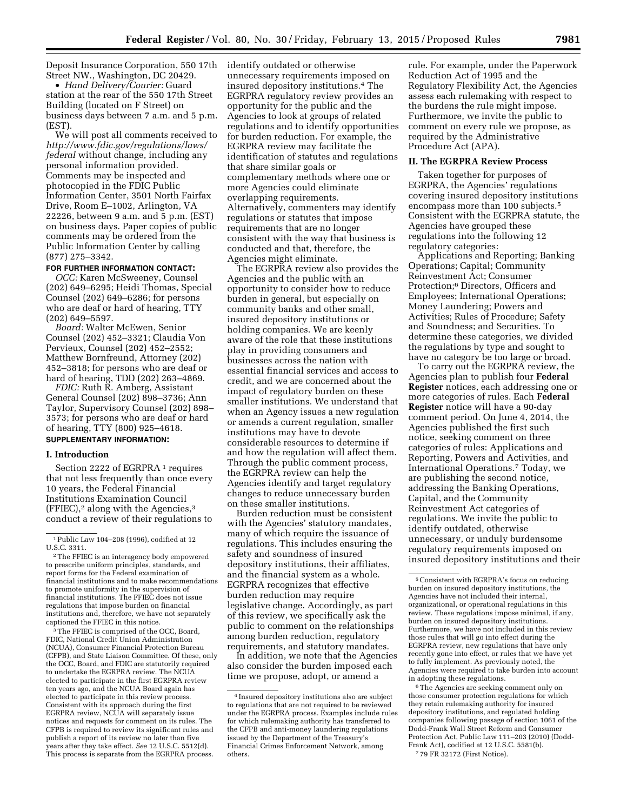Deposit Insurance Corporation, 550 17th identify outdated or otherwise Street NW., Washington, DC 20429.

• *Hand Delivery/Courier:* Guard station at the rear of the 550 17th Street Building (located on F Street) on business days between 7 a.m. and 5 p.m. (EST).

We will post all comments received to *[http://www.fdic.gov/regulations/laws/](http://www.fdic.gov/regulations/laws/federal) [federal](http://www.fdic.gov/regulations/laws/federal)* without change, including any personal information provided. Comments may be inspected and photocopied in the FDIC Public Information Center, 3501 North Fairfax Drive, Room E–1002, Arlington, VA 22226, between 9 a.m. and 5 p.m. (EST) on business days. Paper copies of public comments may be ordered from the Public Information Center by calling (877) 275–3342.

#### **FOR FURTHER INFORMATION CONTACT:**

*OCC:* Karen McSweeney, Counsel (202) 649–6295; Heidi Thomas, Special Counsel (202) 649–6286; for persons who are deaf or hard of hearing, TTY (202) 649–5597.

*Board:* Walter McEwen, Senior Counsel (202) 452–3321; Claudia Von Pervieux, Counsel (202) 452–2552; Matthew Bornfreund, Attorney (202) 452–3818; for persons who are deaf or hard of hearing, TDD (202) 263–4869.

*FDIC:* Ruth R. Amberg, Assistant General Counsel (202) 898–3736; Ann Taylor, Supervisory Counsel (202) 898– 3573; for persons who are deaf or hard of hearing, TTY (800) 925–4618.

## **SUPPLEMENTARY INFORMATION:**

#### **I. Introduction**

Section 2222 of EGRPRA<sup>1</sup> requires that not less frequently than once every 10 years, the Federal Financial Institutions Examination Council  $(FFIEC)<sup>2</sup>$  along with the Agencies,<sup>3</sup> conduct a review of their regulations to

3The FFIEC is comprised of the OCC, Board, FDIC, National Credit Union Administration (NCUA), Consumer Financial Protection Bureau (CFPB), and State Liaison Committee. Of these, only the OCC, Board, and FDIC are statutorily required to undertake the EGRPRA review. The NCUA elected to participate in the first EGRPRA review ten years ago, and the NCUA Board again has elected to participate in this review process. Consistent with its approach during the first EGRPRA review, NCUA will separately issue notices and requests for comment on its rules. The CFPB is required to review its significant rules and publish a report of its review no later than five years after they take effect. *See* 12 U.S.C. 5512(d). This process is separate from the EGRPRA process.

unnecessary requirements imposed on insured depository institutions.4 The EGRPRA regulatory review provides an opportunity for the public and the Agencies to look at groups of related regulations and to identify opportunities for burden reduction. For example, the EGRPRA review may facilitate the identification of statutes and regulations that share similar goals or complementary methods where one or more Agencies could eliminate overlapping requirements. Alternatively, commenters may identify regulations or statutes that impose requirements that are no longer consistent with the way that business is conducted and that, therefore, the Agencies might eliminate.

The EGRPRA review also provides the Agencies and the public with an opportunity to consider how to reduce burden in general, but especially on community banks and other small, insured depository institutions or holding companies. We are keenly aware of the role that these institutions play in providing consumers and businesses across the nation with essential financial services and access to credit, and we are concerned about the impact of regulatory burden on these smaller institutions. We understand that when an Agency issues a new regulation or amends a current regulation, smaller institutions may have to devote considerable resources to determine if and how the regulation will affect them. Through the public comment process, the EGRPRA review can help the Agencies identify and target regulatory changes to reduce unnecessary burden on these smaller institutions.

Burden reduction must be consistent with the Agencies' statutory mandates, many of which require the issuance of regulations. This includes ensuring the safety and soundness of insured depository institutions, their affiliates, and the financial system as a whole. EGRPRA recognizes that effective burden reduction may require legislative change. Accordingly, as part of this review, we specifically ask the public to comment on the relationships among burden reduction, regulatory requirements, and statutory mandates.

In addition, we note that the Agencies also consider the burden imposed each time we propose, adopt, or amend a

rule. For example, under the Paperwork Reduction Act of 1995 and the Regulatory Flexibility Act, the Agencies assess each rulemaking with respect to the burdens the rule might impose. Furthermore, we invite the public to comment on every rule we propose, as required by the Administrative Procedure Act (APA).

#### **II. The EGRPRA Review Process**

Taken together for purposes of EGRPRA, the Agencies' regulations covering insured depository institutions encompass more than 100 subjects.<sup>5</sup> Consistent with the EGRPRA statute, the Agencies have grouped these regulations into the following 12 regulatory categories:

Applications and Reporting; Banking Operations; Capital; Community Reinvestment Act; Consumer Protection;6 Directors, Officers and Employees; International Operations; Money Laundering; Powers and Activities; Rules of Procedure; Safety and Soundness; and Securities. To determine these categories, we divided the regulations by type and sought to have no category be too large or broad.

To carry out the EGRPRA review, the Agencies plan to publish four **Federal Register** notices, each addressing one or more categories of rules. Each **Federal Register** notice will have a 90-day comment period. On June 4, 2014, the Agencies published the first such notice, seeking comment on three categories of rules: Applications and Reporting, Powers and Activities, and International Operations.7 Today, we are publishing the second notice, addressing the Banking Operations, Capital, and the Community Reinvestment Act categories of regulations. We invite the public to identify outdated, otherwise unnecessary, or unduly burdensome regulatory requirements imposed on insured depository institutions and their

 $^{\rm 6}$  The Agencies are seeking comment only on those consumer protection regulations for which they retain rulemaking authority for insured depository institutions, and regulated holding companies following passage of section 1061 of the Dodd-Frank Wall Street Reform and Consumer Protection Act, Public Law 111–203 (2010) (Dodd-Frank Act), codified at 12 U.S.C. 5581(b). 7 79 FR 32172 (First Notice).

<sup>1</sup>Public Law 104–208 (1996), codified at 12 U.S.C. 3311.

<sup>2</sup>The FFIEC is an interagency body empowered to prescribe uniform principles, standards, and report forms for the Federal examination of financial institutions and to make recommendations to promote uniformity in the supervision of financial institutions. The FFIEC does not issue regulations that impose burden on financial institutions and, therefore, we have not separately captioned the FFIEC in this notice.

<sup>4</sup> Insured depository institutions also are subject to regulations that are not required to be reviewed under the EGRPRA process. Examples include rules for which rulemaking authority has transferred to the CFPB and anti-money laundering regulations issued by the Department of the Treasury's Financial Crimes Enforcement Network, among others.

<sup>5</sup>Consistent with EGRPRA's focus on reducing burden on insured depository institutions, the Agencies have not included their internal, organizational, or operational regulations in this review. These regulations impose minimal, if any, burden on insured depository institutions. Furthermore, we have not included in this review those rules that will go into effect during the EGRPRA review, new regulations that have only recently gone into effect, or rules that we have yet to fully implement. As previously noted, the Agencies were required to take burden into account in adopting these regulations.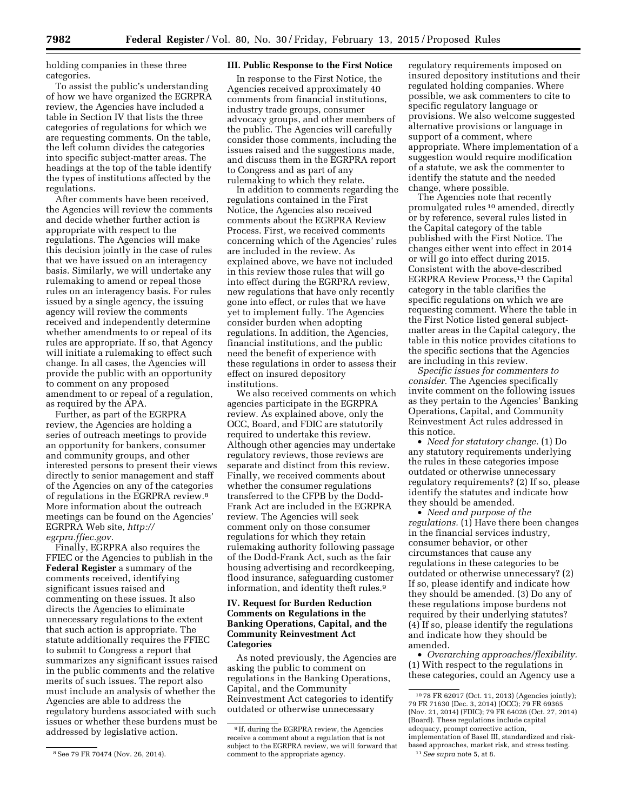holding companies in these three categories.

To assist the public's understanding of how we have organized the EGRPRA review, the Agencies have included a table in Section IV that lists the three categories of regulations for which we are requesting comments. On the table, the left column divides the categories into specific subject-matter areas. The headings at the top of the table identify the types of institutions affected by the regulations.

After comments have been received, the Agencies will review the comments and decide whether further action is appropriate with respect to the regulations. The Agencies will make this decision jointly in the case of rules that we have issued on an interagency basis. Similarly, we will undertake any rulemaking to amend or repeal those rules on an interagency basis. For rules issued by a single agency, the issuing agency will review the comments received and independently determine whether amendments to or repeal of its rules are appropriate. If so, that Agency will initiate a rulemaking to effect such change. In all cases, the Agencies will provide the public with an opportunity to comment on any proposed amendment to or repeal of a regulation, as required by the APA.

Further, as part of the EGRPRA review, the Agencies are holding a series of outreach meetings to provide an opportunity for bankers, consumer and community groups, and other interested persons to present their views directly to senior management and staff of the Agencies on any of the categories of regulations in the EGRPRA review.8 More information about the outreach meetings can be found on the Agencies' EGRPRA Web site, *[http://](http://egrpra.ffiec.gov) [egrpra.ffiec.gov.](http://egrpra.ffiec.gov)* 

Finally, EGRPRA also requires the FFIEC or the Agencies to publish in the **Federal Register** a summary of the comments received, identifying significant issues raised and commenting on these issues. It also directs the Agencies to eliminate unnecessary regulations to the extent that such action is appropriate. The statute additionally requires the FFIEC to submit to Congress a report that summarizes any significant issues raised in the public comments and the relative merits of such issues. The report also must include an analysis of whether the Agencies are able to address the regulatory burdens associated with such issues or whether these burdens must be addressed by legislative action.

#### **III. Public Response to the First Notice**

In response to the First Notice, the Agencies received approximately 40 comments from financial institutions, industry trade groups, consumer advocacy groups, and other members of the public. The Agencies will carefully consider those comments, including the issues raised and the suggestions made, and discuss them in the EGRPRA report to Congress and as part of any rulemaking to which they relate.

In addition to comments regarding the regulations contained in the First Notice, the Agencies also received comments about the EGRPRA Review Process. First, we received comments concerning which of the Agencies' rules are included in the review. As explained above, we have not included in this review those rules that will go into effect during the EGRPRA review, new regulations that have only recently gone into effect, or rules that we have yet to implement fully. The Agencies consider burden when adopting regulations. In addition, the Agencies, financial institutions, and the public need the benefit of experience with these regulations in order to assess their effect on insured depository institutions.

We also received comments on which agencies participate in the EGRPRA review. As explained above, only the OCC, Board, and FDIC are statutorily required to undertake this review. Although other agencies may undertake regulatory reviews, those reviews are separate and distinct from this review. Finally, we received comments about whether the consumer regulations transferred to the CFPB by the Dodd-Frank Act are included in the EGRPRA review. The Agencies will seek comment only on those consumer regulations for which they retain rulemaking authority following passage of the Dodd-Frank Act, such as the fair housing advertising and recordkeeping, flood insurance, safeguarding customer information, and identity theft rules.9

#### **IV. Request for Burden Reduction Comments on Regulations in the Banking Operations, Capital, and the Community Reinvestment Act Categories**

As noted previously, the Agencies are asking the public to comment on regulations in the Banking Operations, Capital, and the Community Reinvestment Act categories to identify outdated or otherwise unnecessary

regulatory requirements imposed on insured depository institutions and their regulated holding companies. Where possible, we ask commenters to cite to specific regulatory language or provisions. We also welcome suggested alternative provisions or language in support of a comment, where appropriate. Where implementation of a suggestion would require modification of a statute, we ask the commenter to identify the statute and the needed change, where possible.

The Agencies note that recently promulgated rules 10 amended, directly or by reference, several rules listed in the Capital category of the table published with the First Notice. The changes either went into effect in 2014 or will go into effect during 2015. Consistent with the above-described EGRPRA Review Process,11 the Capital category in the table clarifies the specific regulations on which we are requesting comment. Where the table in the First Notice listed general subjectmatter areas in the Capital category, the table in this notice provides citations to the specific sections that the Agencies are including in this review.

*Specific issues for commenters to consider.* The Agencies specifically invite comment on the following issues as they pertain to the Agencies' Banking Operations, Capital, and Community Reinvestment Act rules addressed in this notice.

• *Need for statutory change.* (1) Do any statutory requirements underlying the rules in these categories impose outdated or otherwise unnecessary regulatory requirements? (2) If so, please identify the statutes and indicate how they should be amended.

• *Need and purpose of the regulations.* (1) Have there been changes in the financial services industry, consumer behavior, or other circumstances that cause any regulations in these categories to be outdated or otherwise unnecessary? (2) If so, please identify and indicate how they should be amended. (3) Do any of these regulations impose burdens not required by their underlying statutes? (4) If so, please identify the regulations and indicate how they should be amended.

• *Overarching approaches/flexibility.*  (1) With respect to the regulations in these categories, could an Agency use a

<sup>8</sup>See 79 FR 70474 (Nov. 26, 2014).

<sup>9</sup> If, during the EGRPRA review, the Agencies receive a comment about a regulation that is not subject to the EGRPRA review, we will forward that comment to the appropriate agency.

<sup>10</sup> 78 FR 62017 (Oct. 11, 2013) (Agencies jointly); 79 FR 71630 (Dec. 3, 2014) (OCC); 79 FR 69365 (Nov. 21, 2014) (FDIC); 79 FR 64026 (Oct. 27, 2014) (Board). These regulations include capital adequacy, prompt corrective action, implementation of Basel III, standardized and riskbased approaches, market risk, and stress testing. 11*See supra* note 5, at 8.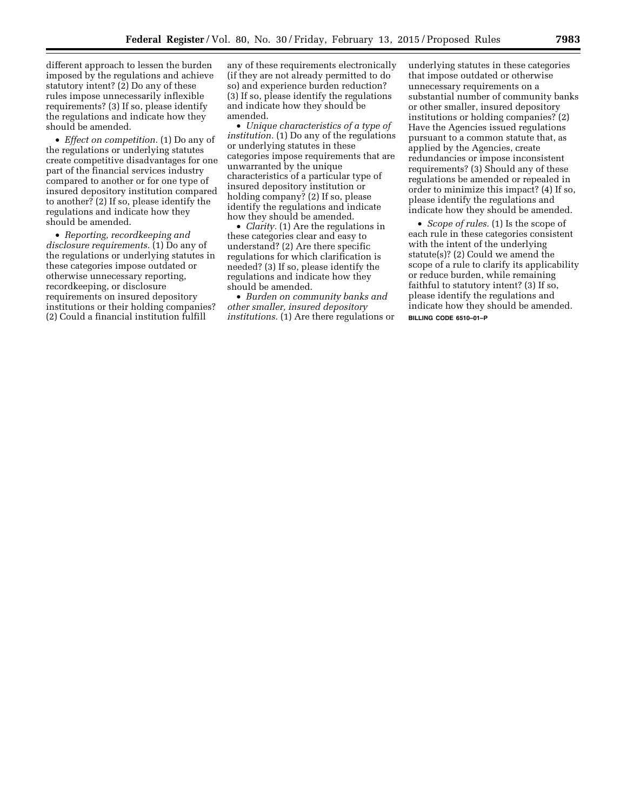different approach to lessen the burden imposed by the regulations and achieve statutory intent? (2) Do any of these rules impose unnecessarily inflexible requirements? (3) If so, please identify the regulations and indicate how they should be amended.

• *Effect on competition.* (1) Do any of the regulations or underlying statutes create competitive disadvantages for one part of the financial services industry compared to another or for one type of insured depository institution compared to another? (2) If so, please identify the regulations and indicate how they should be amended.

• *Reporting, recordkeeping and disclosure requirements.* (1) Do any of the regulations or underlying statutes in these categories impose outdated or otherwise unnecessary reporting, recordkeeping, or disclosure requirements on insured depository institutions or their holding companies? (2) Could a financial institution fulfill

any of these requirements electronically (if they are not already permitted to do so) and experience burden reduction? (3) If so, please identify the regulations and indicate how they should be amended.

• *Unique characteristics of a type of institution.* (1) Do any of the regulations or underlying statutes in these categories impose requirements that are unwarranted by the unique characteristics of a particular type of insured depository institution or holding company? (2) If so, please identify the regulations and indicate how they should be amended.

• *Clarity.* (1) Are the regulations in these categories clear and easy to understand? (2) Are there specific regulations for which clarification is needed? (3) If so, please identify the regulations and indicate how they should be amended.

• *Burden on community banks and other smaller, insured depository institutions.* (1) Are there regulations or underlying statutes in these categories that impose outdated or otherwise unnecessary requirements on a substantial number of community banks or other smaller, insured depository institutions or holding companies? (2) Have the Agencies issued regulations pursuant to a common statute that, as applied by the Agencies, create redundancies or impose inconsistent requirements? (3) Should any of these regulations be amended or repealed in order to minimize this impact? (4) If so, please identify the regulations and indicate how they should be amended.

• *Scope of rules.* (1) Is the scope of each rule in these categories consistent with the intent of the underlying statute(s)? (2) Could we amend the scope of a rule to clarify its applicability or reduce burden, while remaining faithful to statutory intent? (3) If so, please identify the regulations and indicate how they should be amended. **BILLING CODE 6510–01–P**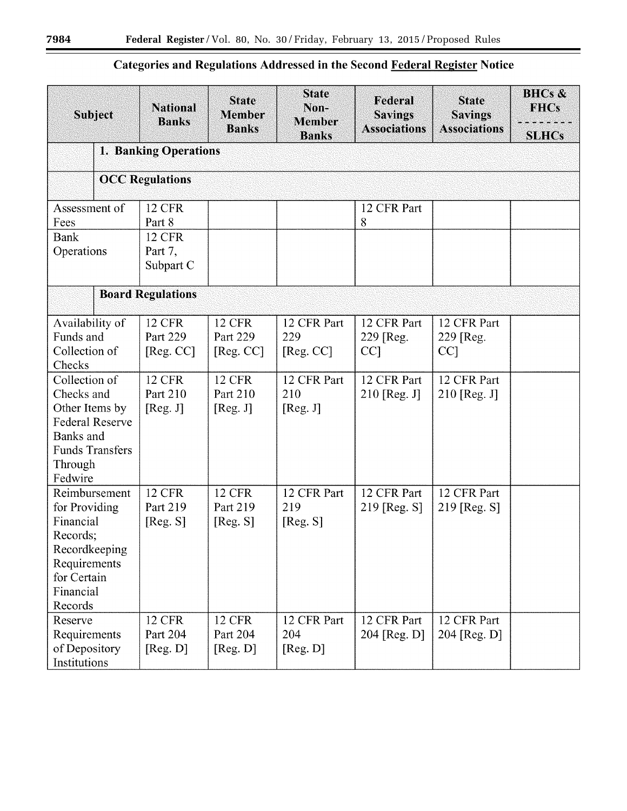# **Categories and Regulations Addressed in the Second Federal Register Notice**

| <b>Subject</b>                                                                                                                       | <b>National</b><br><b>Banks</b>        | <b>State</b><br><b>Member</b><br><b>Banks</b> | <b>State</b><br>Non-<br><b>Member</b><br><b>Banks</b> | Federal<br><b>Savings</b><br><b>Associations</b> | <b>State</b><br><b>Savings</b><br><b>Associations</b> | <b>BHCs &amp;</b><br><b>FHCs</b><br><b>SLHCs</b> |  |  |  |
|--------------------------------------------------------------------------------------------------------------------------------------|----------------------------------------|-----------------------------------------------|-------------------------------------------------------|--------------------------------------------------|-------------------------------------------------------|--------------------------------------------------|--|--|--|
|                                                                                                                                      | 1. Banking Operations                  |                                               |                                                       |                                                  |                                                       |                                                  |  |  |  |
|                                                                                                                                      | <b>OCC Regulations</b>                 |                                               |                                                       |                                                  |                                                       |                                                  |  |  |  |
| Assessment of<br>Fees                                                                                                                | <b>12 CFR</b><br>Part 8                |                                               |                                                       | 12 CFR Part<br>8                                 |                                                       |                                                  |  |  |  |
| <b>Bank</b><br>Operations                                                                                                            | <b>12 CFR</b><br>Part 7,<br>Subpart C  |                                               |                                                       |                                                  |                                                       |                                                  |  |  |  |
|                                                                                                                                      | <b>Board Regulations</b>               |                                               |                                                       |                                                  |                                                       |                                                  |  |  |  |
| Availability of<br>Funds and<br>Collection of<br>Checks                                                                              | <b>12 CFR</b><br>Part 229<br>[Reg. CC] | <b>12 CFR</b><br>Part 229<br>[Reg. CC]        | 12 CFR Part<br>229<br>[Reg. CC]                       | 12 CFR Part<br>229 [Reg.<br>CC <sub>1</sub>      | 12 CFR Part<br>229 [Reg.<br>$CC$ ]                    |                                                  |  |  |  |
| Collection of<br>Checks and<br>Other Items by<br><b>Federal Reserve</b><br>Banks and<br><b>Funds Transfers</b><br>Through<br>Fedwire | <b>12 CFR</b><br>Part 210<br>[Reg. J]  | <b>12 CFR</b><br>Part 210<br>[Reg. J]         | 12 CFR Part<br>210<br>[Reg. J]                        | 12 CFR Part<br>$210$ [Reg. J]                    | 12 CFR Part<br>$210$ [Reg. J]                         |                                                  |  |  |  |
| Reimbursement<br>for Providing<br>Financial<br>Records;<br>Recordkeeping<br>Requirements<br>for Certain<br>Financial<br>Records      | <b>12 CFR</b><br>Part 219<br>[Reg. S]  | <b>12 CFR</b><br>Part 219<br>[Reg. S]         | 12 CFR Part<br>219<br>[Reg. S]                        | 12 CFR Part<br>$219$ [Reg. S]                    | 12 CFR Part<br>219 [Reg. S]                           |                                                  |  |  |  |
| Reserve<br>Requirements<br>of Depository<br>Institutions                                                                             | <b>12 CFR</b><br>Part 204<br>[Reg. D]  | <b>12 CFR</b><br>Part 204<br>[Reg. D]         | 12 CFR Part<br>204<br>[Reg. D]                        | 12 CFR Part<br>204 [Reg. D]                      | 12 CFR Part<br>204 [Reg. D]                           |                                                  |  |  |  |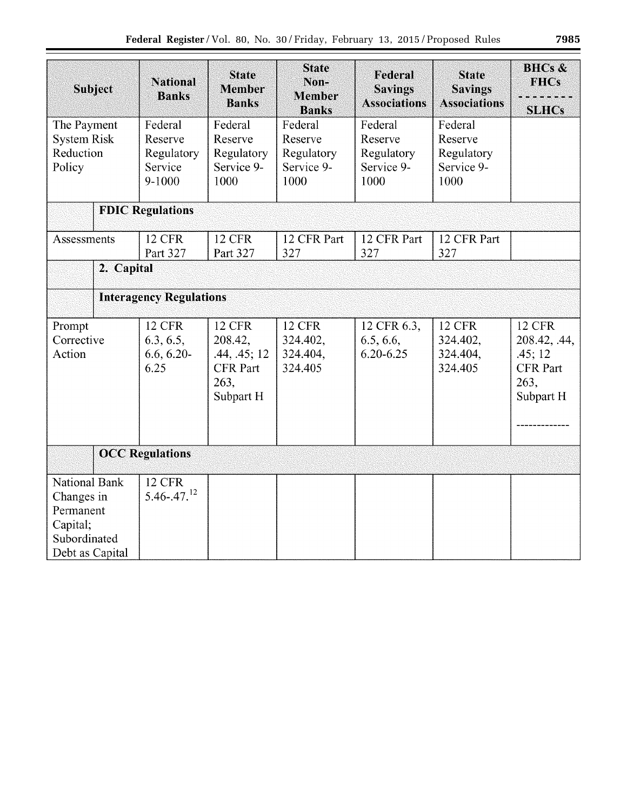| <b>SLHCs</b>                                   |  |  |  |  |  |  |  |  |  |
|------------------------------------------------|--|--|--|--|--|--|--|--|--|
|                                                |  |  |  |  |  |  |  |  |  |
|                                                |  |  |  |  |  |  |  |  |  |
|                                                |  |  |  |  |  |  |  |  |  |
|                                                |  |  |  |  |  |  |  |  |  |
|                                                |  |  |  |  |  |  |  |  |  |
|                                                |  |  |  |  |  |  |  |  |  |
| <b>Interagency Regulations</b>                 |  |  |  |  |  |  |  |  |  |
| <b>12 CFR</b><br>208.42, .44,                  |  |  |  |  |  |  |  |  |  |
| .45;12<br><b>CFR</b> Part<br>263,<br>Subpart H |  |  |  |  |  |  |  |  |  |
|                                                |  |  |  |  |  |  |  |  |  |
|                                                |  |  |  |  |  |  |  |  |  |
|                                                |  |  |  |  |  |  |  |  |  |
|                                                |  |  |  |  |  |  |  |  |  |
|                                                |  |  |  |  |  |  |  |  |  |
|                                                |  |  |  |  |  |  |  |  |  |
| <b>Associations</b>                            |  |  |  |  |  |  |  |  |  |